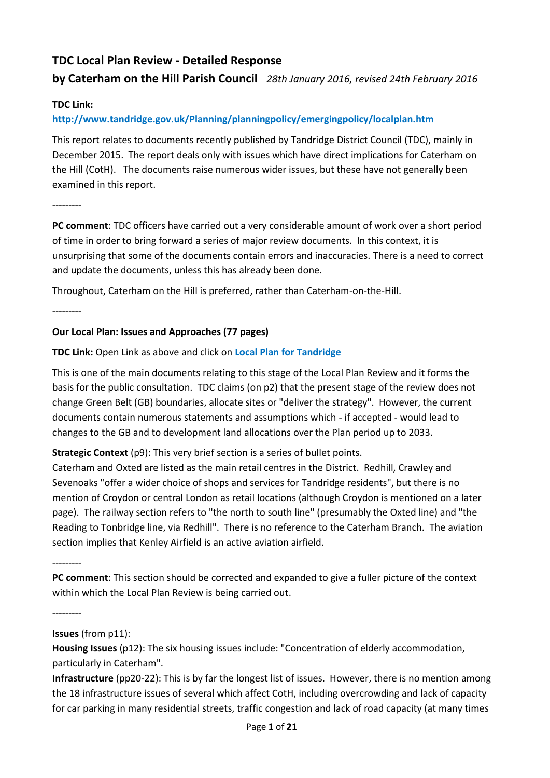# **TDC Local Plan Review - Detailed Response**

## **by Caterham on the Hill Parish Council** *28th January 2016, revised 24th February 2016*

## **TDC Link:**

## **http://www.tandridge.gov.uk/Planning/planningpolicy/emergingpolicy/localplan.htm**

This report relates to documents recently published by Tandridge District Council (TDC), mainly in December 2015. The report deals only with issues which have direct implications for Caterham on the Hill (CotH). The documents raise numerous wider issues, but these have not generally been examined in this report.

---------

**PC comment**: TDC officers have carried out a very considerable amount of work over a short period of time in order to bring forward a series of major review documents. In this context, it is unsurprising that some of the documents contain errors and inaccuracies. There is a need to correct and update the documents, unless this has already been done.

Throughout, Caterham on the Hill is preferred, rather than Caterham-on-the-Hill.

---------

## **Our Local Plan: Issues and Approaches (77 pages)**

## **TDC Link:** Open Link as above and click on **Local Plan for Tandridge**

This is one of the main documents relating to this stage of the Local Plan Review and it forms the basis for the public consultation. TDC claims (on p2) that the present stage of the review does not change Green Belt (GB) boundaries, allocate sites or "deliver the strategy". However, the current documents contain numerous statements and assumptions which - if accepted - would lead to changes to the GB and to development land allocations over the Plan period up to 2033.

**Strategic Context** (p9): This very brief section is a series of bullet points.

Caterham and Oxted are listed as the main retail centres in the District. Redhill, Crawley and Sevenoaks "offer a wider choice of shops and services for Tandridge residents", but there is no mention of Croydon or central London as retail locations (although Croydon is mentioned on a later page). The railway section refers to "the north to south line" (presumably the Oxted line) and "the Reading to Tonbridge line, via Redhill". There is no reference to the Caterham Branch. The aviation section implies that Kenley Airfield is an active aviation airfield.

---------

**PC comment**: This section should be corrected and expanded to give a fuller picture of the context within which the Local Plan Review is being carried out.

---------

## **Issues** (from p11):

**Housing Issues** (p12): The six housing issues include: "Concentration of elderly accommodation, particularly in Caterham".

**Infrastructure** (pp20-22): This is by far the longest list of issues. However, there is no mention among the 18 infrastructure issues of several which affect CotH, including overcrowding and lack of capacity for car parking in many residential streets, traffic congestion and lack of road capacity (at many times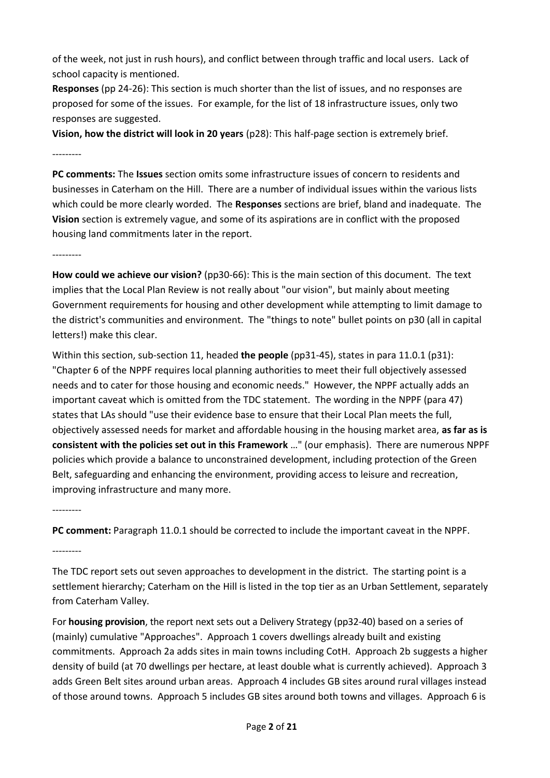of the week, not just in rush hours), and conflict between through traffic and local users. Lack of school capacity is mentioned.

**Responses** (pp 24-26): This section is much shorter than the list of issues, and no responses are proposed for some of the issues. For example, for the list of 18 infrastructure issues, only two responses are suggested.

**Vision, how the district will look in 20 years** (p28): This half-page section is extremely brief. ---------

**PC comments:** The **Issues** section omits some infrastructure issues of concern to residents and businesses in Caterham on the Hill. There are a number of individual issues within the various lists which could be more clearly worded. The **Responses** sections are brief, bland and inadequate. The **Vision** section is extremely vague, and some of its aspirations are in conflict with the proposed housing land commitments later in the report.

---------

**How could we achieve our vision?** (pp30-66): This is the main section of this document. The text implies that the Local Plan Review is not really about "our vision", but mainly about meeting Government requirements for housing and other development while attempting to limit damage to the district's communities and environment. The "things to note" bullet points on p30 (all in capital letters!) make this clear.

Within this section, sub-section 11, headed **the people** (pp31-45), states in para 11.0.1 (p31): "Chapter 6 of the NPPF requires local planning authorities to meet their full objectively assessed needs and to cater for those housing and economic needs." However, the NPPF actually adds an important caveat which is omitted from the TDC statement. The wording in the NPPF (para 47) states that LAs should "use their evidence base to ensure that their Local Plan meets the full, objectively assessed needs for market and affordable housing in the housing market area, **as far as is consistent with the policies set out in this Framework** …" (our emphasis). There are numerous NPPF policies which provide a balance to unconstrained development, including protection of the Green Belt, safeguarding and enhancing the environment, providing access to leisure and recreation, improving infrastructure and many more.

---------

**PC comment:** Paragraph 11.0.1 should be corrected to include the important caveat in the NPPF.

---------

The TDC report sets out seven approaches to development in the district. The starting point is a settlement hierarchy; Caterham on the Hill is listed in the top tier as an Urban Settlement, separately from Caterham Valley.

For **housing provision**, the report next sets out a Delivery Strategy (pp32-40) based on a series of (mainly) cumulative "Approaches". Approach 1 covers dwellings already built and existing commitments. Approach 2a adds sites in main towns including CotH. Approach 2b suggests a higher density of build (at 70 dwellings per hectare, at least double what is currently achieved). Approach 3 adds Green Belt sites around urban areas. Approach 4 includes GB sites around rural villages instead of those around towns. Approach 5 includes GB sites around both towns and villages. Approach 6 is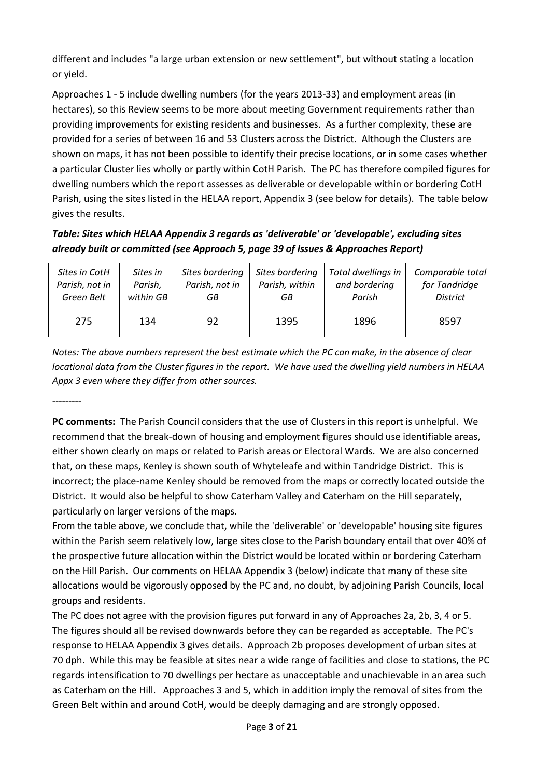different and includes "a large urban extension or new settlement", but without stating a location or yield.

Approaches 1 - 5 include dwelling numbers (for the years 2013-33) and employment areas (in hectares), so this Review seems to be more about meeting Government requirements rather than providing improvements for existing residents and businesses. As a further complexity, these are provided for a series of between 16 and 53 Clusters across the District. Although the Clusters are shown on maps, it has not been possible to identify their precise locations, or in some cases whether a particular Cluster lies wholly or partly within CotH Parish. The PC has therefore compiled figures for dwelling numbers which the report assesses as deliverable or developable within or bordering CotH Parish, using the sites listed in the HELAA report, Appendix 3 (see below for details). The table below gives the results.

## *Table: Sites which HELAA Appendix 3 regards as 'deliverable' or 'developable', excluding sites already built or committed (see Approach 5, page 39 of Issues & Approaches Report)*

| Sites in CotH  | Sites in  | Sites bordering | Sites bordering | Total dwellings in | Comparable total |
|----------------|-----------|-----------------|-----------------|--------------------|------------------|
| Parish, not in | Parish,   | Parish, not in  | Parish, within  | and bordering      | for Tandridge    |
| Green Belt     | within GB | GВ              | GB              | Parish             | <b>District</b>  |
| 275            | 134       | 92              | 1395            | 1896               | 8597             |

*Notes: The above numbers represent the best estimate which the PC can make, in the absence of clear locational data from the Cluster figures in the report. We have used the dwelling yield numbers in HELAA Appx 3 even where they differ from other sources.*

---------

**PC comments:** The Parish Council considers that the use of Clusters in this report is unhelpful. We recommend that the break-down of housing and employment figures should use identifiable areas, either shown clearly on maps or related to Parish areas or Electoral Wards. We are also concerned that, on these maps, Kenley is shown south of Whyteleafe and within Tandridge District. This is incorrect; the place-name Kenley should be removed from the maps or correctly located outside the District. It would also be helpful to show Caterham Valley and Caterham on the Hill separately, particularly on larger versions of the maps.

From the table above, we conclude that, while the 'deliverable' or 'developable' housing site figures within the Parish seem relatively low, large sites close to the Parish boundary entail that over 40% of the prospective future allocation within the District would be located within or bordering Caterham on the Hill Parish. Our comments on HELAA Appendix 3 (below) indicate that many of these site allocations would be vigorously opposed by the PC and, no doubt, by adjoining Parish Councils, local groups and residents.

The PC does not agree with the provision figures put forward in any of Approaches 2a, 2b, 3, 4 or 5. The figures should all be revised downwards before they can be regarded as acceptable. The PC's response to HELAA Appendix 3 gives details. Approach 2b proposes development of urban sites at 70 dph. While this may be feasible at sites near a wide range of facilities and close to stations, the PC regards intensification to 70 dwellings per hectare as unacceptable and unachievable in an area such as Caterham on the Hill. Approaches 3 and 5, which in addition imply the removal of sites from the Green Belt within and around CotH, would be deeply damaging and are strongly opposed.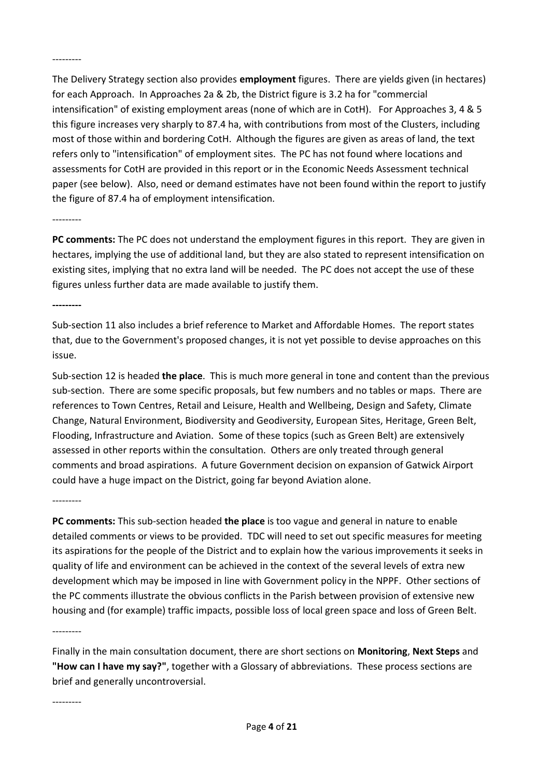---------

The Delivery Strategy section also provides **employment** figures. There are yields given (in hectares) for each Approach. In Approaches 2a & 2b, the District figure is 3.2 ha for "commercial intensification" of existing employment areas (none of which are in CotH). For Approaches 3, 4 & 5 this figure increases very sharply to 87.4 ha, with contributions from most of the Clusters, including most of those within and bordering CotH. Although the figures are given as areas of land, the text refers only to "intensification" of employment sites. The PC has not found where locations and assessments for CotH are provided in this report or in the Economic Needs Assessment technical paper (see below). Also, need or demand estimates have not been found within the report to justify the figure of 87.4 ha of employment intensification.

---------

**PC comments:** The PC does not understand the employment figures in this report. They are given in hectares, implying the use of additional land, but they are also stated to represent intensification on existing sites, implying that no extra land will be needed. The PC does not accept the use of these figures unless further data are made available to justify them.

**---------**

Sub-section 11 also includes a brief reference to Market and Affordable Homes. The report states that, due to the Government's proposed changes, it is not yet possible to devise approaches on this issue.

Sub-section 12 is headed **the place**. This is much more general in tone and content than the previous sub-section. There are some specific proposals, but few numbers and no tables or maps. There are references to Town Centres, Retail and Leisure, Health and Wellbeing, Design and Safety, Climate Change, Natural Environment, Biodiversity and Geodiversity, European Sites, Heritage, Green Belt, Flooding, Infrastructure and Aviation. Some of these topics (such as Green Belt) are extensively assessed in other reports within the consultation. Others are only treated through general comments and broad aspirations. A future Government decision on expansion of Gatwick Airport could have a huge impact on the District, going far beyond Aviation alone.

---------

**PC comments:** This sub-section headed **the place** is too vague and general in nature to enable detailed comments or views to be provided. TDC will need to set out specific measures for meeting its aspirations for the people of the District and to explain how the various improvements it seeks in quality of life and environment can be achieved in the context of the several levels of extra new development which may be imposed in line with Government policy in the NPPF. Other sections of the PC comments illustrate the obvious conflicts in the Parish between provision of extensive new housing and (for example) traffic impacts, possible loss of local green space and loss of Green Belt.

---------

Finally in the main consultation document, there are short sections on **Monitoring**, **Next Steps** and **"How can I have my say?"**, together with a Glossary of abbreviations. These process sections are brief and generally uncontroversial.

---------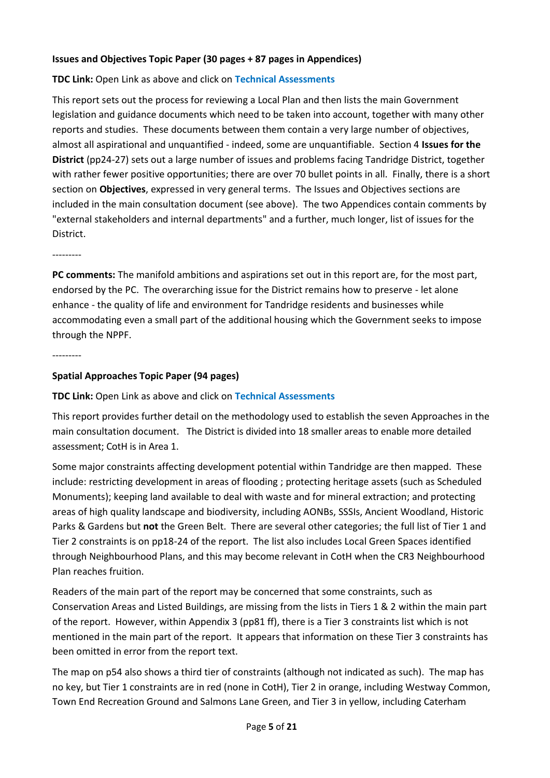## **Issues and Objectives Topic Paper (30 pages + 87 pages in Appendices)**

#### **TDC Link:** Open Link as above and click on **Technical Assessments**

This report sets out the process for reviewing a Local Plan and then lists the main Government legislation and guidance documents which need to be taken into account, together with many other reports and studies. These documents between them contain a very large number of objectives, almost all aspirational and unquantified - indeed, some are unquantifiable. Section 4 **Issues for the District** (pp24-27) sets out a large number of issues and problems facing Tandridge District, together with rather fewer positive opportunities; there are over 70 bullet points in all. Finally, there is a short section on **Objectives**, expressed in very general terms. The Issues and Objectives sections are included in the main consultation document (see above). The two Appendices contain comments by "external stakeholders and internal departments" and a further, much longer, list of issues for the District.

---------

**PC comments:** The manifold ambitions and aspirations set out in this report are, for the most part, endorsed by the PC. The overarching issue for the District remains how to preserve - let alone enhance - the quality of life and environment for Tandridge residents and businesses while accommodating even a small part of the additional housing which the Government seeks to impose through the NPPF.

---------

### **Spatial Approaches Topic Paper (94 pages)**

#### **TDC Link:** Open Link as above and click on **Technical Assessments**

This report provides further detail on the methodology used to establish the seven Approaches in the main consultation document. The District is divided into 18 smaller areas to enable more detailed assessment; CotH is in Area 1.

Some major constraints affecting development potential within Tandridge are then mapped. These include: restricting development in areas of flooding ; protecting heritage assets (such as Scheduled Monuments); keeping land available to deal with waste and for mineral extraction; and protecting areas of high quality landscape and biodiversity, including AONBs, SSSIs, Ancient Woodland, Historic Parks & Gardens but **not** the Green Belt. There are several other categories; the full list of Tier 1 and Tier 2 constraints is on pp18-24 of the report. The list also includes Local Green Spaces identified through Neighbourhood Plans, and this may become relevant in CotH when the CR3 Neighbourhood Plan reaches fruition.

Readers of the main part of the report may be concerned that some constraints, such as Conservation Areas and Listed Buildings, are missing from the lists in Tiers 1 & 2 within the main part of the report. However, within Appendix 3 (pp81 ff), there is a Tier 3 constraints list which is not mentioned in the main part of the report. It appears that information on these Tier 3 constraints has been omitted in error from the report text.

The map on p54 also shows a third tier of constraints (although not indicated as such). The map has no key, but Tier 1 constraints are in red (none in CotH), Tier 2 in orange, including Westway Common, Town End Recreation Ground and Salmons Lane Green, and Tier 3 in yellow, including Caterham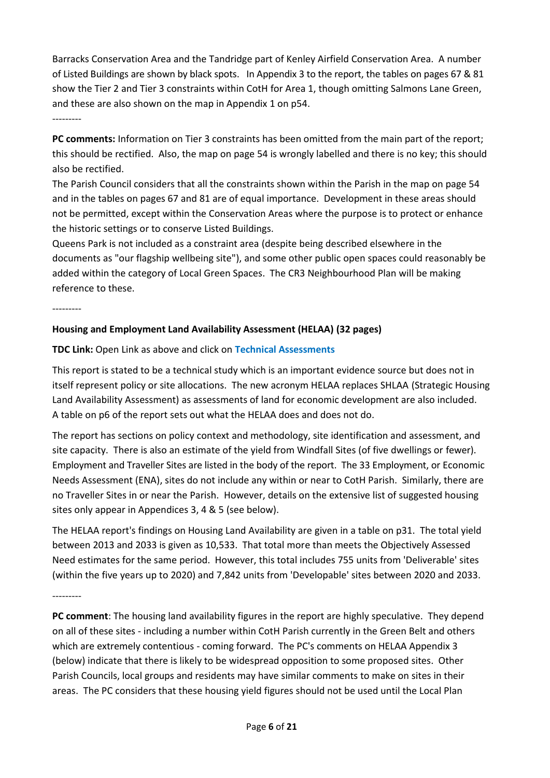Barracks Conservation Area and the Tandridge part of Kenley Airfield Conservation Area. A number of Listed Buildings are shown by black spots. In Appendix 3 to the report, the tables on pages 67 & 81 show the Tier 2 and Tier 3 constraints within CotH for Area 1, though omitting Salmons Lane Green, and these are also shown on the map in Appendix 1 on p54. ---------

**PC comments:** Information on Tier 3 constraints has been omitted from the main part of the report; this should be rectified. Also, the map on page 54 is wrongly labelled and there is no key; this should also be rectified.

The Parish Council considers that all the constraints shown within the Parish in the map on page 54 and in the tables on pages 67 and 81 are of equal importance. Development in these areas should not be permitted, except within the Conservation Areas where the purpose is to protect or enhance the historic settings or to conserve Listed Buildings.

Queens Park is not included as a constraint area (despite being described elsewhere in the documents as "our flagship wellbeing site"), and some other public open spaces could reasonably be added within the category of Local Green Spaces. The CR3 Neighbourhood Plan will be making reference to these.

---------

### **Housing and Employment Land Availability Assessment (HELAA) (32 pages)**

**TDC Link:** Open Link as above and click on **Technical Assessments**

This report is stated to be a technical study which is an important evidence source but does not in itself represent policy or site allocations. The new acronym HELAA replaces SHLAA (Strategic Housing Land Availability Assessment) as assessments of land for economic development are also included. A table on p6 of the report sets out what the HELAA does and does not do.

The report has sections on policy context and methodology, site identification and assessment, and site capacity. There is also an estimate of the yield from Windfall Sites (of five dwellings or fewer). Employment and Traveller Sites are listed in the body of the report. The 33 Employment, or Economic Needs Assessment (ENA), sites do not include any within or near to CotH Parish. Similarly, there are no Traveller Sites in or near the Parish. However, details on the extensive list of suggested housing sites only appear in Appendices 3, 4 & 5 (see below).

The HELAA report's findings on Housing Land Availability are given in a table on p31. The total yield between 2013 and 2033 is given as 10,533. That total more than meets the Objectively Assessed Need estimates for the same period. However, this total includes 755 units from 'Deliverable' sites (within the five years up to 2020) and 7,842 units from 'Developable' sites between 2020 and 2033.

---------

**PC comment**: The housing land availability figures in the report are highly speculative. They depend on all of these sites - including a number within CotH Parish currently in the Green Belt and others which are extremely contentious - coming forward. The PC's comments on HELAA Appendix 3 (below) indicate that there is likely to be widespread opposition to some proposed sites. Other Parish Councils, local groups and residents may have similar comments to make on sites in their areas. The PC considers that these housing yield figures should not be used until the Local Plan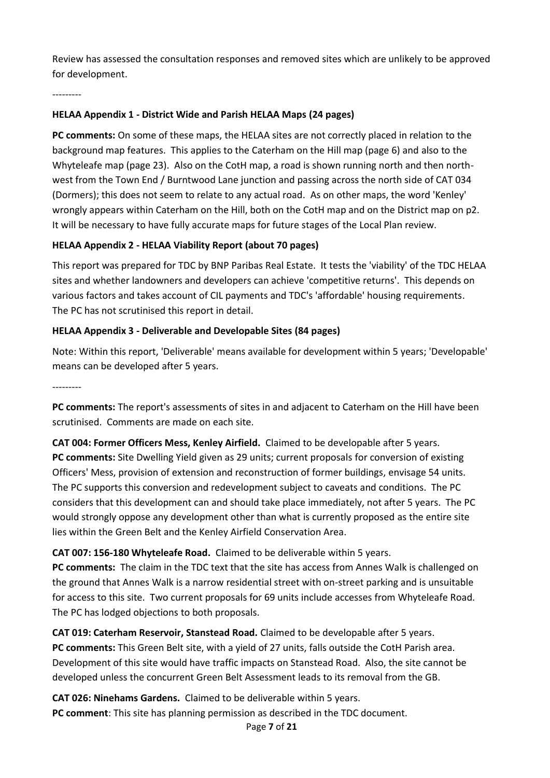Review has assessed the consultation responses and removed sites which are unlikely to be approved for development.

---------

## **HELAA Appendix 1 - District Wide and Parish HELAA Maps (24 pages)**

**PC comments:** On some of these maps, the HELAA sites are not correctly placed in relation to the background map features. This applies to the Caterham on the Hill map (page 6) and also to the Whyteleafe map (page 23). Also on the CotH map, a road is shown running north and then northwest from the Town End / Burntwood Lane junction and passing across the north side of CAT 034 (Dormers); this does not seem to relate to any actual road. As on other maps, the word 'Kenley' wrongly appears within Caterham on the Hill, both on the CotH map and on the District map on p2. It will be necessary to have fully accurate maps for future stages of the Local Plan review.

### **HELAA Appendix 2 - HELAA Viability Report (about 70 pages)**

This report was prepared for TDC by BNP Paribas Real Estate. It tests the 'viability' of the TDC HELAA sites and whether landowners and developers can achieve 'competitive returns'. This depends on various factors and takes account of CIL payments and TDC's 'affordable' housing requirements. The PC has not scrutinised this report in detail.

## **HELAA Appendix 3 - Deliverable and Developable Sites (84 pages)**

Note: Within this report, 'Deliverable' means available for development within 5 years; 'Developable' means can be developed after 5 years.

---------

**PC comments:** The report's assessments of sites in and adjacent to Caterham on the Hill have been scrutinised. Comments are made on each site.

**CAT 004: Former Officers Mess, Kenley Airfield.** Claimed to be developable after 5 years. **PC comments:** Site Dwelling Yield given as 29 units; current proposals for conversion of existing Officers' Mess, provision of extension and reconstruction of former buildings, envisage 54 units. The PC supports this conversion and redevelopment subject to caveats and conditions. The PC considers that this development can and should take place immediately, not after 5 years. The PC would strongly oppose any development other than what is currently proposed as the entire site lies within the Green Belt and the Kenley Airfield Conservation Area.

**CAT 007: 156-180 Whyteleafe Road.** Claimed to be deliverable within 5 years. **PC comments:** The claim in the TDC text that the site has access from Annes Walk is challenged on the ground that Annes Walk is a narrow residential street with on-street parking and is unsuitable for access to this site. Two current proposals for 69 units include accesses from Whyteleafe Road. The PC has lodged objections to both proposals.

**CAT 019: Caterham Reservoir, Stanstead Road.** Claimed to be developable after 5 years. **PC comments:** This Green Belt site, with a yield of 27 units, falls outside the CotH Parish area. Development of this site would have traffic impacts on Stanstead Road. Also, the site cannot be developed unless the concurrent Green Belt Assessment leads to its removal from the GB.

**CAT 026: Ninehams Gardens.** Claimed to be deliverable within 5 years. **PC comment**: This site has planning permission as described in the TDC document.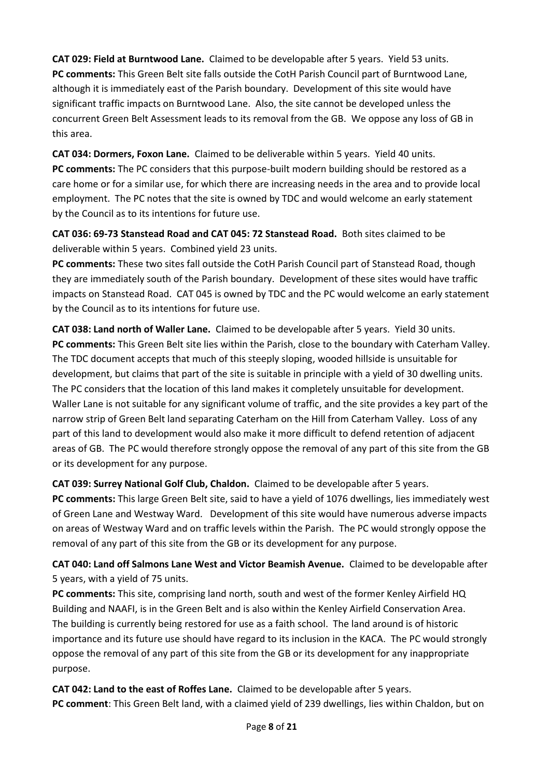**CAT 029: Field at Burntwood Lane.** Claimed to be developable after 5 years. Yield 53 units. **PC comments:** This Green Belt site falls outside the CotH Parish Council part of Burntwood Lane, although it is immediately east of the Parish boundary. Development of this site would have significant traffic impacts on Burntwood Lane. Also, the site cannot be developed unless the concurrent Green Belt Assessment leads to its removal from the GB. We oppose any loss of GB in this area.

**CAT 034: Dormers, Foxon Lane.** Claimed to be deliverable within 5 years. Yield 40 units. **PC comments:** The PC considers that this purpose-built modern building should be restored as a care home or for a similar use, for which there are increasing needs in the area and to provide local employment. The PC notes that the site is owned by TDC and would welcome an early statement by the Council as to its intentions for future use.

**CAT 036: 69-73 Stanstead Road and CAT 045: 72 Stanstead Road.** Both sites claimed to be deliverable within 5 years. Combined yield 23 units.

**PC comments:** These two sites fall outside the CotH Parish Council part of Stanstead Road, though they are immediately south of the Parish boundary. Development of these sites would have traffic impacts on Stanstead Road. CAT 045 is owned by TDC and the PC would welcome an early statement by the Council as to its intentions for future use.

**CAT 038: Land north of Waller Lane.** Claimed to be developable after 5 years. Yield 30 units. **PC comments:** This Green Belt site lies within the Parish, close to the boundary with Caterham Valley. The TDC document accepts that much of this steeply sloping, wooded hillside is unsuitable for development, but claims that part of the site is suitable in principle with a yield of 30 dwelling units. The PC considers that the location of this land makes it completely unsuitable for development. Waller Lane is not suitable for any significant volume of traffic, and the site provides a key part of the narrow strip of Green Belt land separating Caterham on the Hill from Caterham Valley. Loss of any part of this land to development would also make it more difficult to defend retention of adjacent areas of GB. The PC would therefore strongly oppose the removal of any part of this site from the GB or its development for any purpose.

**CAT 039: Surrey National Golf Club, Chaldon.** Claimed to be developable after 5 years.

**PC comments:** This large Green Belt site, said to have a yield of 1076 dwellings, lies immediately west of Green Lane and Westway Ward. Development of this site would have numerous adverse impacts on areas of Westway Ward and on traffic levels within the Parish. The PC would strongly oppose the removal of any part of this site from the GB or its development for any purpose.

**CAT 040: Land off Salmons Lane West and Victor Beamish Avenue.** Claimed to be developable after 5 years, with a yield of 75 units.

**PC comments:** This site, comprising land north, south and west of the former Kenley Airfield HQ Building and NAAFI, is in the Green Belt and is also within the Kenley Airfield Conservation Area. The building is currently being restored for use as a faith school. The land around is of historic importance and its future use should have regard to its inclusion in the KACA. The PC would strongly oppose the removal of any part of this site from the GB or its development for any inappropriate purpose.

**CAT 042: Land to the east of Roffes Lane.** Claimed to be developable after 5 years. **PC comment**: This Green Belt land, with a claimed yield of 239 dwellings, lies within Chaldon, but on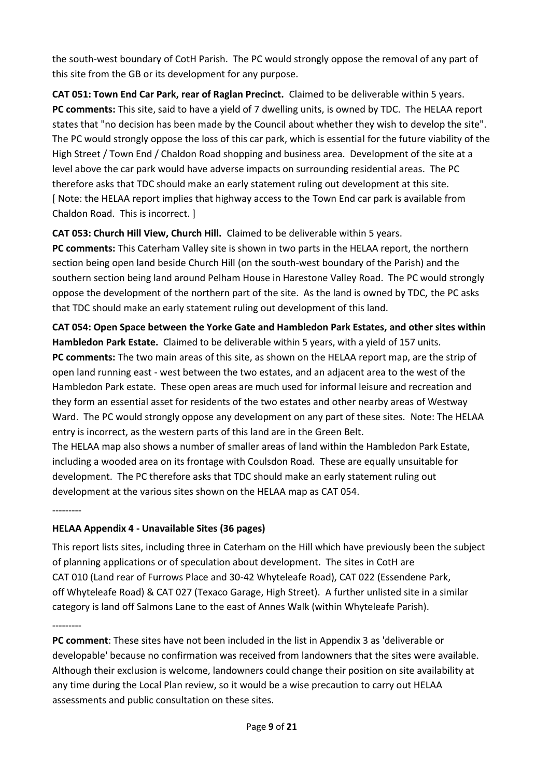the south-west boundary of CotH Parish. The PC would strongly oppose the removal of any part of this site from the GB or its development for any purpose.

**CAT 051: Town End Car Park, rear of Raglan Precinct.** Claimed to be deliverable within 5 years. **PC comments:** This site, said to have a yield of 7 dwelling units, is owned by TDC. The HELAA report states that "no decision has been made by the Council about whether they wish to develop the site". The PC would strongly oppose the loss of this car park, which is essential for the future viability of the High Street / Town End / Chaldon Road shopping and business area. Development of the site at a level above the car park would have adverse impacts on surrounding residential areas. The PC therefore asks that TDC should make an early statement ruling out development at this site. [ Note: the HELAA report implies that highway access to the Town End car park is available from Chaldon Road. This is incorrect. ]

## **CAT 053: Church Hill View, Church Hill.** Claimed to be deliverable within 5 years.

**PC comments:** This Caterham Valley site is shown in two parts in the HELAA report, the northern section being open land beside Church Hill (on the south-west boundary of the Parish) and the southern section being land around Pelham House in Harestone Valley Road. The PC would strongly oppose the development of the northern part of the site. As the land is owned by TDC, the PC asks that TDC should make an early statement ruling out development of this land.

**CAT 054: Open Space between the Yorke Gate and Hambledon Park Estates, and other sites within Hambledon Park Estate.** Claimed to be deliverable within 5 years, with a yield of 157 units. **PC comments:** The two main areas of this site, as shown on the HELAA report map, are the strip of open land running east - west between the two estates, and an adjacent area to the west of the Hambledon Park estate. These open areas are much used for informal leisure and recreation and they form an essential asset for residents of the two estates and other nearby areas of Westway Ward. The PC would strongly oppose any development on any part of these sites. Note: The HELAA entry is incorrect, as the western parts of this land are in the Green Belt.

The HELAA map also shows a number of smaller areas of land within the Hambledon Park Estate, including a wooded area on its frontage with Coulsdon Road. These are equally unsuitable for development. The PC therefore asks that TDC should make an early statement ruling out development at the various sites shown on the HELAA map as CAT 054.

---------

## **HELAA Appendix 4 - Unavailable Sites (36 pages)**

This report lists sites, including three in Caterham on the Hill which have previously been the subject of planning applications or of speculation about development. The sites in CotH are CAT 010 (Land rear of Furrows Place and 30-42 Whyteleafe Road), CAT 022 (Essendene Park, off Whyteleafe Road) & CAT 027 (Texaco Garage, High Street). A further unlisted site in a similar category is land off Salmons Lane to the east of Annes Walk (within Whyteleafe Parish).

---------

**PC comment**: These sites have not been included in the list in Appendix 3 as 'deliverable or developable' because no confirmation was received from landowners that the sites were available. Although their exclusion is welcome, landowners could change their position on site availability at any time during the Local Plan review, so it would be a wise precaution to carry out HELAA assessments and public consultation on these sites.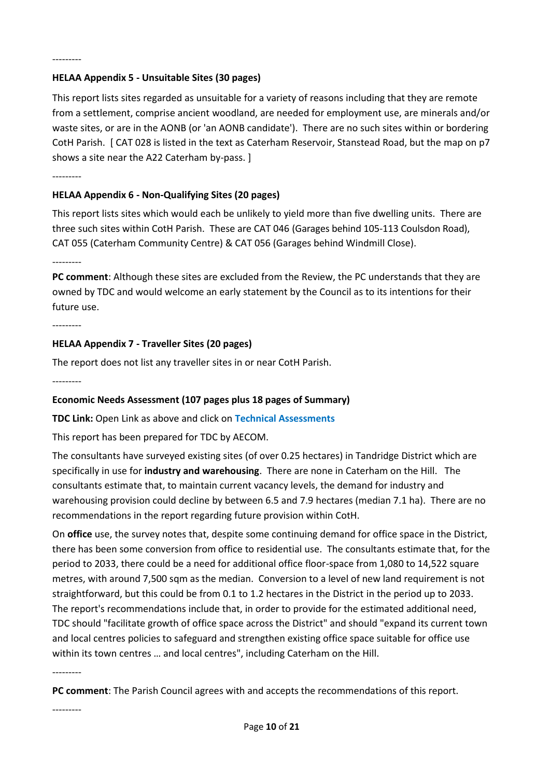#### **HELAA Appendix 5 - Unsuitable Sites (30 pages)**

This report lists sites regarded as unsuitable for a variety of reasons including that they are remote from a settlement, comprise ancient woodland, are needed for employment use, are minerals and/or waste sites, or are in the AONB (or 'an AONB candidate'). There are no such sites within or bordering CotH Parish. [ CAT 028 is listed in the text as Caterham Reservoir, Stanstead Road, but the map on p7 shows a site near the A22 Caterham by-pass. ]

---------

#### **HELAA Appendix 6 - Non-Qualifying Sites (20 pages)**

This report lists sites which would each be unlikely to yield more than five dwelling units. There are three such sites within CotH Parish. These are CAT 046 (Garages behind 105-113 Coulsdon Road), CAT 055 (Caterham Community Centre) & CAT 056 (Garages behind Windmill Close).

---------

**PC comment**: Although these sites are excluded from the Review, the PC understands that they are owned by TDC and would welcome an early statement by the Council as to its intentions for their future use.

---------

#### **HELAA Appendix 7 - Traveller Sites (20 pages)**

The report does not list any traveller sites in or near CotH Parish.

---------

#### **Economic Needs Assessment (107 pages plus 18 pages of Summary)**

**TDC Link:** Open Link as above and click on **Technical Assessments**

This report has been prepared for TDC by AECOM.

The consultants have surveyed existing sites (of over 0.25 hectares) in Tandridge District which are specifically in use for **industry and warehousing**. There are none in Caterham on the Hill. The consultants estimate that, to maintain current vacancy levels, the demand for industry and warehousing provision could decline by between 6.5 and 7.9 hectares (median 7.1 ha). There are no recommendations in the report regarding future provision within CotH.

On **office** use, the survey notes that, despite some continuing demand for office space in the District, there has been some conversion from office to residential use. The consultants estimate that, for the period to 2033, there could be a need for additional office floor-space from 1,080 to 14,522 square metres, with around 7,500 sqm as the median. Conversion to a level of new land requirement is not straightforward, but this could be from 0.1 to 1.2 hectares in the District in the period up to 2033. The report's recommendations include that, in order to provide for the estimated additional need, TDC should "facilitate growth of office space across the District" and should "expand its current town and local centres policies to safeguard and strengthen existing office space suitable for office use within its town centres … and local centres", including Caterham on the Hill.

---------

**PC comment**: The Parish Council agrees with and accepts the recommendations of this report.

---------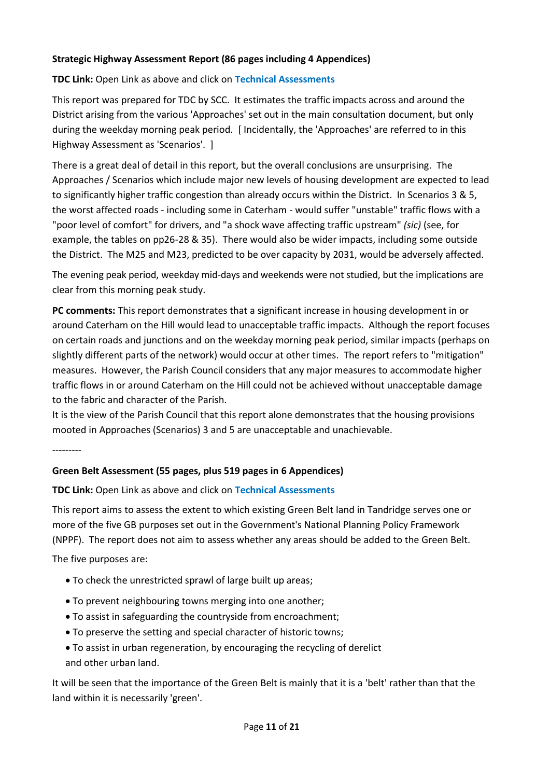## **Strategic Highway Assessment Report (86 pages including 4 Appendices)**

#### **TDC Link:** Open Link as above and click on **Technical Assessments**

This report was prepared for TDC by SCC. It estimates the traffic impacts across and around the District arising from the various 'Approaches' set out in the main consultation document, but only during the weekday morning peak period. [ Incidentally, the 'Approaches' are referred to in this Highway Assessment as 'Scenarios'. ]

There is a great deal of detail in this report, but the overall conclusions are unsurprising. The Approaches / Scenarios which include major new levels of housing development are expected to lead to significantly higher traffic congestion than already occurs within the District. In Scenarios 3 & 5, the worst affected roads - including some in Caterham - would suffer "unstable" traffic flows with a "poor level of comfort" for drivers, and "a shock wave affecting traffic upstream" *(sic)* (see, for example, the tables on pp26-28 & 35). There would also be wider impacts, including some outside the District. The M25 and M23, predicted to be over capacity by 2031, would be adversely affected.

The evening peak period, weekday mid-days and weekends were not studied, but the implications are clear from this morning peak study.

**PC comments:** This report demonstrates that a significant increase in housing development in or around Caterham on the Hill would lead to unacceptable traffic impacts. Although the report focuses on certain roads and junctions and on the weekday morning peak period, similar impacts (perhaps on slightly different parts of the network) would occur at other times. The report refers to "mitigation" measures. However, the Parish Council considers that any major measures to accommodate higher traffic flows in or around Caterham on the Hill could not be achieved without unacceptable damage to the fabric and character of the Parish.

It is the view of the Parish Council that this report alone demonstrates that the housing provisions mooted in Approaches (Scenarios) 3 and 5 are unacceptable and unachievable.

---------

## **Green Belt Assessment (55 pages, plus 519 pages in 6 Appendices)**

**TDC Link:** Open Link as above and click on **Technical Assessments**

This report aims to assess the extent to which existing Green Belt land in Tandridge serves one or more of the five GB purposes set out in the Government's National Planning Policy Framework (NPPF). The report does not aim to assess whether any areas should be added to the Green Belt.

The five purposes are:

- To check the unrestricted sprawl of large built up areas;
- To prevent neighbouring towns merging into one another;
- To assist in safeguarding the countryside from encroachment;
- To preserve the setting and special character of historic towns;
- To assist in urban regeneration, by encouraging the recycling of derelict and other urban land.

It will be seen that the importance of the Green Belt is mainly that it is a 'belt' rather than that the land within it is necessarily 'green'.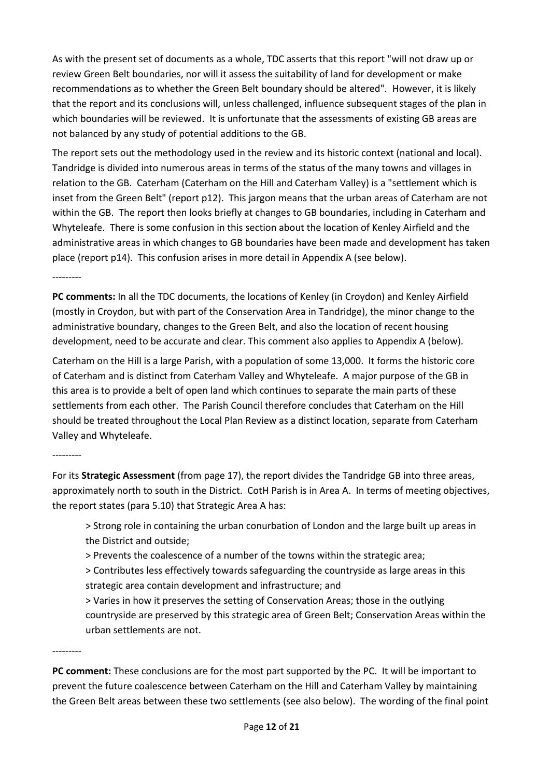As with the present set of documents as a whole, TDC asserts that this report "will not draw up or review Green Belt boundaries, nor will it assess the suitability of land for development or make recommendations as to whether the Green Belt boundary should be altered". However, it is likely that the report and its conclusions will, unless challenged, influence subsequent stages of the plan in which boundaries will be reviewed. It is unfortunate that the assessments of existing GB areas are not balanced by any study of potential additions to the GB.

The report sets out the methodology used in the review and its historic context (national and local). Tandridge is divided into numerous areas in terms of the status of the many towns and villages in relation to the GB. Caterham (Caterham on the Hill and Caterham Valley) is a "settlement which is inset from the Green Belt" (report p12). This jargon means that the urban areas of Caterham are not within the GB. The report then looks briefly at changes to GB boundaries, including in Caterham and Whyteleafe. There is some confusion in this section about the location of Kenley Airfield and the administrative areas in which changes to GB boundaries have been made and development has taken place (report p14). This confusion arises in more detail in Appendix A (see below).

---------

**PC comments:** In all the TDC documents, the locations of Kenley (in Croydon) and Kenley Airfield (mostly in Croydon, but with part of the Conservation Area in Tandridge), the minor change to the administrative boundary, changes to the Green Belt, and also the location of recent housing development, need to be accurate and clear. This comment also applies to Appendix A (below).

Caterham on the Hill is a large Parish, with a population of some 13,000. It forms the historic core of Caterham and is distinct from Caterham Valley and Whyteleafe. A major purpose of the GB in this area is to provide a belt of open land which continues to separate the main parts of these settlements from each other. The Parish Council therefore concludes that Caterham on the Hill should be treated throughout the Local Plan Review as a distinct location, separate from Caterham Valley and Whyteleafe.

#### ---------

For its **Strategic Assessment** (from page 17), the report divides the Tandridge GB into three areas, approximately north to south in the District. CotH Parish is in Area A. In terms of meeting objectives, the report states (para 5.10) that Strategic Area A has:

> Strong role in containing the urban conurbation of London and the large built up areas in the District and outside;

> Prevents the coalescence of a number of the towns within the strategic area;

> Contributes less effectively towards safeguarding the countryside as large areas in this strategic area contain development and infrastructure; and

> Varies in how it preserves the setting of Conservation Areas; those in the outlying countryside are preserved by this strategic area of Green Belt; Conservation Areas within the urban settlements are not.

---------

**PC comment:** These conclusions are for the most part supported by the PC. It will be important to prevent the future coalescence between Caterham on the Hill and Caterham Valley by maintaining the Green Belt areas between these two settlements (see also below). The wording of the final point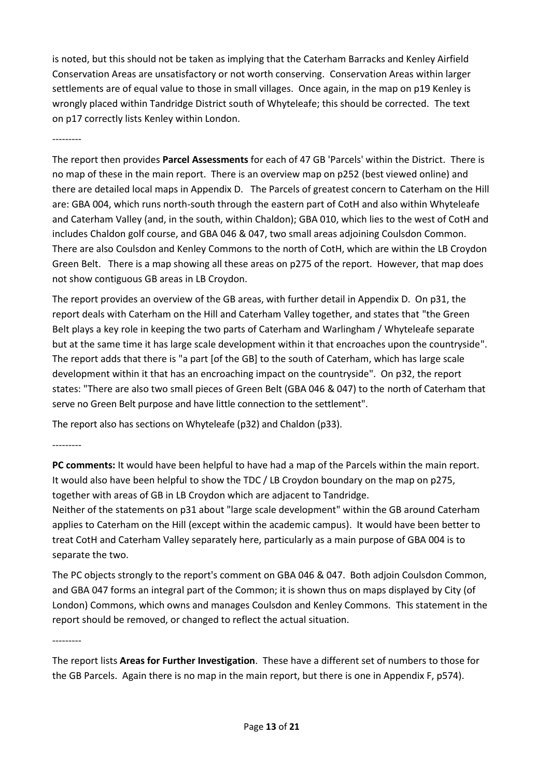is noted, but this should not be taken as implying that the Caterham Barracks and Kenley Airfield Conservation Areas are unsatisfactory or not worth conserving. Conservation Areas within larger settlements are of equal value to those in small villages. Once again, in the map on p19 Kenley is wrongly placed within Tandridge District south of Whyteleafe; this should be corrected. The text on p17 correctly lists Kenley within London.

---------

The report then provides **Parcel Assessments** for each of 47 GB 'Parcels' within the District. There is no map of these in the main report. There is an overview map on p252 (best viewed online) and there are detailed local maps in Appendix D. The Parcels of greatest concern to Caterham on the Hill are: GBA 004, which runs north-south through the eastern part of CotH and also within Whyteleafe and Caterham Valley (and, in the south, within Chaldon); GBA 010, which lies to the west of CotH and includes Chaldon golf course, and GBA 046 & 047, two small areas adjoining Coulsdon Common. There are also Coulsdon and Kenley Commons to the north of CotH, which are within the LB Croydon Green Belt. There is a map showing all these areas on p275 of the report. However, that map does not show contiguous GB areas in LB Croydon.

The report provides an overview of the GB areas, with further detail in Appendix D. On p31, the report deals with Caterham on the Hill and Caterham Valley together, and states that "the Green Belt plays a key role in keeping the two parts of Caterham and Warlingham / Whyteleafe separate but at the same time it has large scale development within it that encroaches upon the countryside". The report adds that there is "a part [of the GB] to the south of Caterham, which has large scale development within it that has an encroaching impact on the countryside". On p32, the report states: "There are also two small pieces of Green Belt (GBA 046 & 047) to the north of Caterham that serve no Green Belt purpose and have little connection to the settlement".

The report also has sections on Whyteleafe (p32) and Chaldon (p33).

---------

**PC comments:** It would have been helpful to have had a map of the Parcels within the main report. It would also have been helpful to show the TDC / LB Croydon boundary on the map on p275, together with areas of GB in LB Croydon which are adjacent to Tandridge.

Neither of the statements on p31 about "large scale development" within the GB around Caterham applies to Caterham on the Hill (except within the academic campus). It would have been better to treat CotH and Caterham Valley separately here, particularly as a main purpose of GBA 004 is to separate the two.

The PC objects strongly to the report's comment on GBA 046 & 047. Both adjoin Coulsdon Common, and GBA 047 forms an integral part of the Common; it is shown thus on maps displayed by City (of London) Commons, which owns and manages Coulsdon and Kenley Commons. This statement in the report should be removed, or changed to reflect the actual situation.

---------

The report lists **Areas for Further Investigation**. These have a different set of numbers to those for the GB Parcels. Again there is no map in the main report, but there is one in Appendix F, p574).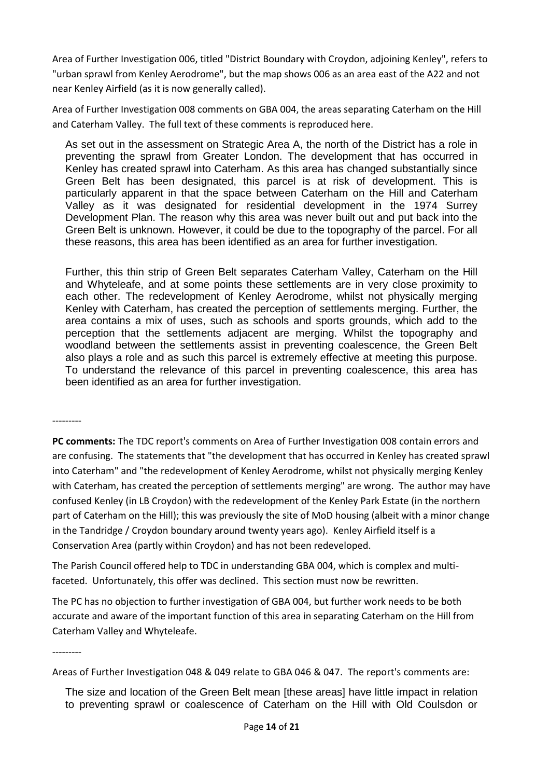Area of Further Investigation 006, titled "District Boundary with Croydon, adjoining Kenley", refers to "urban sprawl from Kenley Aerodrome", but the map shows 006 as an area east of the A22 and not near Kenley Airfield (as it is now generally called).

Area of Further Investigation 008 comments on GBA 004, the areas separating Caterham on the Hill and Caterham Valley. The full text of these comments is reproduced here.

As set out in the assessment on Strategic Area A, the north of the District has a role in preventing the sprawl from Greater London. The development that has occurred in Kenley has created sprawl into Caterham. As this area has changed substantially since Green Belt has been designated, this parcel is at risk of development. This is particularly apparent in that the space between Caterham on the Hill and Caterham Valley as it was designated for residential development in the 1974 Surrey Development Plan. The reason why this area was never built out and put back into the Green Belt is unknown. However, it could be due to the topography of the parcel. For all these reasons, this area has been identified as an area for further investigation.

Further, this thin strip of Green Belt separates Caterham Valley, Caterham on the Hill and Whyteleafe, and at some points these settlements are in very close proximity to each other. The redevelopment of Kenley Aerodrome, whilst not physically merging Kenley with Caterham, has created the perception of settlements merging. Further, the area contains a mix of uses, such as schools and sports grounds, which add to the perception that the settlements adjacent are merging. Whilst the topography and woodland between the settlements assist in preventing coalescence, the Green Belt also plays a role and as such this parcel is extremely effective at meeting this purpose. To understand the relevance of this parcel in preventing coalescence, this area has been identified as an area for further investigation.

---------

**PC comments:** The TDC report's comments on Area of Further Investigation 008 contain errors and are confusing. The statements that "the development that has occurred in Kenley has created sprawl into Caterham" and "the redevelopment of Kenley Aerodrome, whilst not physically merging Kenley with Caterham, has created the perception of settlements merging" are wrong. The author may have confused Kenley (in LB Croydon) with the redevelopment of the Kenley Park Estate (in the northern part of Caterham on the Hill); this was previously the site of MoD housing (albeit with a minor change in the Tandridge / Croydon boundary around twenty years ago). Kenley Airfield itself is a Conservation Area (partly within Croydon) and has not been redeveloped.

The Parish Council offered help to TDC in understanding GBA 004, which is complex and multifaceted. Unfortunately, this offer was declined. This section must now be rewritten.

The PC has no objection to further investigation of GBA 004, but further work needs to be both accurate and aware of the important function of this area in separating Caterham on the Hill from Caterham Valley and Whyteleafe.

---------

Areas of Further Investigation 048 & 049 relate to GBA 046 & 047. The report's comments are:

The size and location of the Green Belt mean [these areas] have little impact in relation to preventing sprawl or coalescence of Caterham on the Hill with Old Coulsdon or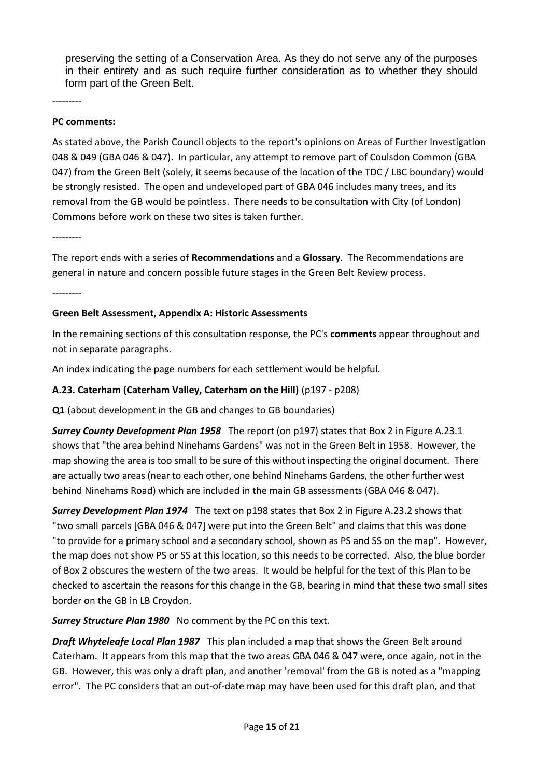preserving the setting of a Conservation Area. As they do not serve any of the purposes in their entirety and as such require further consideration as to whether they should form part of the Green Belt.

---------

#### **PC comments:**

As stated above, the Parish Council objects to the report's opinions on Areas of Further Investigation 048 & 049 (GBA 046 & 047). In particular, any attempt to remove part of Coulsdon Common (GBA 047) from the Green Belt (solely, it seems because of the location of the TDC / LBC boundary) would be strongly resisted. The open and undeveloped part of GBA 046 includes many trees, and its removal from the GB would be pointless. There needs to be consultation with City (of London) Commons before work on these two sites is taken further.

---------

The report ends with a series of **Recommendations** and a **Glossary**. The Recommendations are general in nature and concern possible future stages in the Green Belt Review process.

---------

#### **Green Belt Assessment, Appendix A: Historic Assessments**

In the remaining sections of this consultation response, the PC's **comments** appear throughout and not in separate paragraphs.

An index indicating the page numbers for each settlement would be helpful.

#### **A.23. Caterham (Caterham Valley, Caterham on the Hill)** (p197 - p208)

**Q1** (about development in the GB and changes to GB boundaries)

*Surrey County Development Plan 1958* The report (on p197) states that Box 2 in Figure A.23.1 shows that "the area behind Ninehams Gardens" was not in the Green Belt in 1958. However, the map showing the area is too small to be sure of this without inspecting the original document. There are actually two areas (near to each other, one behind Ninehams Gardens, the other further west behind Ninehams Road) which are included in the main GB assessments (GBA 046 & 047).

*Surrey Development Plan 1974* The text on p198 states that Box 2 in Figure A.23.2 shows that "two small parcels [GBA 046 & 047] were put into the Green Belt" and claims that this was done "to provide for a primary school and a secondary school, shown as PS and SS on the map". However, the map does not show PS or SS at this location, so this needs to be corrected. Also, the blue border of Box 2 obscures the western of the two areas. It would be helpful for the text of this Plan to be checked to ascertain the reasons for this change in the GB, bearing in mind that these two small sites border on the GB in LB Croydon.

*Surrey Structure Plan 1980* No comment by the PC on this text.

*Draft Whyteleafe Local Plan 1987* This plan included a map that shows the Green Belt around Caterham. It appears from this map that the two areas GBA 046 & 047 were, once again, not in the GB. However, this was only a draft plan, and another 'removal' from the GB is noted as a "mapping error". The PC considers that an out-of-date map may have been used for this draft plan, and that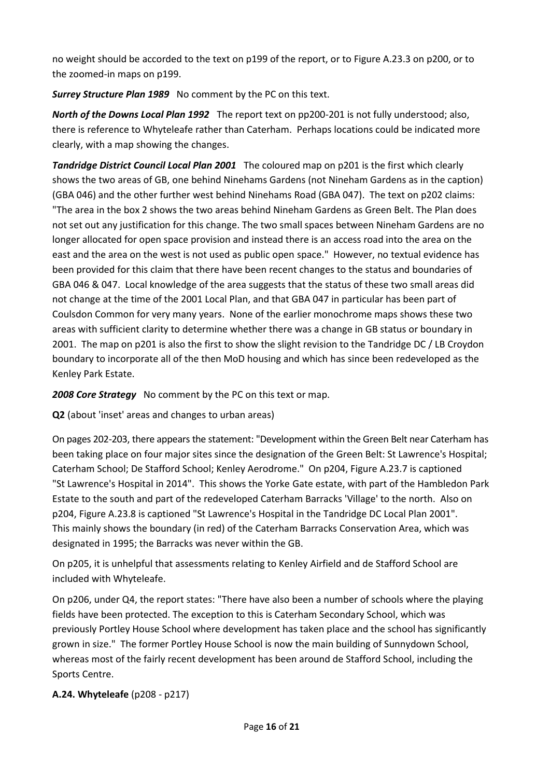no weight should be accorded to the text on p199 of the report, or to Figure A.23.3 on p200, or to the zoomed-in maps on p199.

*Surrey Structure Plan 1989* No comment by the PC on this text.

*North of the Downs Local Plan 1992* The report text on pp200-201 is not fully understood; also, there is reference to Whyteleafe rather than Caterham. Perhaps locations could be indicated more clearly, with a map showing the changes.

*Tandridge District Council Local Plan 2001* The coloured map on p201 is the first which clearly shows the two areas of GB, one behind Ninehams Gardens (not Nineham Gardens as in the caption) (GBA 046) and the other further west behind Ninehams Road (GBA 047). The text on p202 claims: "The area in the box 2 shows the two areas behind Nineham Gardens as Green Belt. The Plan does not set out any justification for this change. The two small spaces between Nineham Gardens are no longer allocated for open space provision and instead there is an access road into the area on the east and the area on the west is not used as public open space." However, no textual evidence has been provided for this claim that there have been recent changes to the status and boundaries of GBA 046 & 047. Local knowledge of the area suggests that the status of these two small areas did not change at the time of the 2001 Local Plan, and that GBA 047 in particular has been part of Coulsdon Common for very many years. None of the earlier monochrome maps shows these two areas with sufficient clarity to determine whether there was a change in GB status or boundary in 2001. The map on p201 is also the first to show the slight revision to the Tandridge DC / LB Croydon boundary to incorporate all of the then MoD housing and which has since been redeveloped as the Kenley Park Estate.

*2008 Core Strategy* No comment by the PC on this text or map.

**Q2** (about 'inset' areas and changes to urban areas)

On pages 202-203, there appears the statement: "Development within the Green Belt near Caterham has been taking place on four major sites since the designation of the Green Belt: St Lawrence's Hospital; Caterham School; De Stafford School; Kenley Aerodrome." On p204, Figure A.23.7 is captioned "St Lawrence's Hospital in 2014". This shows the Yorke Gate estate, with part of the Hambledon Park Estate to the south and part of the redeveloped Caterham Barracks 'Village' to the north. Also on p204, Figure A.23.8 is captioned "St Lawrence's Hospital in the Tandridge DC Local Plan 2001". This mainly shows the boundary (in red) of the Caterham Barracks Conservation Area, which was designated in 1995; the Barracks was never within the GB.

On p205, it is unhelpful that assessments relating to Kenley Airfield and de Stafford School are included with Whyteleafe.

On p206, under Q4, the report states: "There have also been a number of schools where the playing fields have been protected. The exception to this is Caterham Secondary School, which was previously Portley House School where development has taken place and the school has significantly grown in size." The former Portley House School is now the main building of Sunnydown School, whereas most of the fairly recent development has been around de Stafford School, including the Sports Centre.

## **A.24. Whyteleafe** (p208 - p217)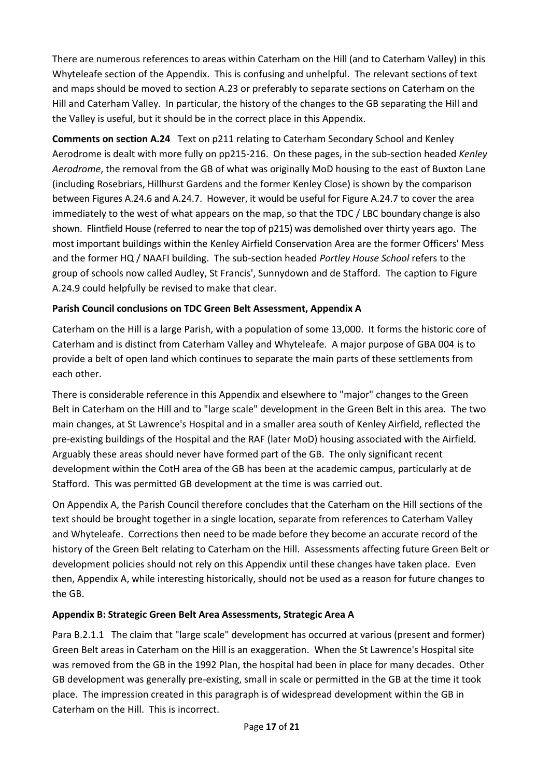There are numerous references to areas within Caterham on the Hill (and to Caterham Valley) in this Whyteleafe section of the Appendix. This is confusing and unhelpful. The relevant sections of text and maps should be moved to section A.23 or preferably to separate sections on Caterham on the Hill and Caterham Valley. In particular, the history of the changes to the GB separating the Hill and the Valley is useful, but it should be in the correct place in this Appendix.

**Comments on section A.24** Text on p211 relating to Caterham Secondary School and Kenley Aerodrome is dealt with more fully on pp215-216. On these pages, in the sub-section headed *Kenley Aerodrome*, the removal from the GB of what was originally MoD housing to the east of Buxton Lane (including Rosebriars, Hillhurst Gardens and the former Kenley Close) is shown by the comparison between Figures A.24.6 and A.24.7. However, it would be useful for Figure A.24.7 to cover the area immediately to the west of what appears on the map, so that the TDC / LBC boundary change is also shown. Flintfield House (referred to near the top of p215) was demolished over thirty years ago. The most important buildings within the Kenley Airfield Conservation Area are the former Officers' Mess and the former HQ / NAAFI building. The sub-section headed *Portley House School* refers to the group of schools now called Audley, St Francis', Sunnydown and de Stafford. The caption to Figure A.24.9 could helpfully be revised to make that clear.

## **Parish Council conclusions on TDC Green Belt Assessment, Appendix A**

Caterham on the Hill is a large Parish, with a population of some 13,000. It forms the historic core of Caterham and is distinct from Caterham Valley and Whyteleafe. A major purpose of GBA 004 is to provide a belt of open land which continues to separate the main parts of these settlements from each other.

There is considerable reference in this Appendix and elsewhere to "major" changes to the Green Belt in Caterham on the Hill and to "large scale" development in the Green Belt in this area. The two main changes, at St Lawrence's Hospital and in a smaller area south of Kenley Airfield, reflected the pre-existing buildings of the Hospital and the RAF (later MoD) housing associated with the Airfield. Arguably these areas should never have formed part of the GB. The only significant recent development within the CotH area of the GB has been at the academic campus, particularly at de Stafford. This was permitted GB development at the time is was carried out.

On Appendix A, the Parish Council therefore concludes that the Caterham on the Hill sections of the text should be brought together in a single location, separate from references to Caterham Valley and Whyteleafe. Corrections then need to be made before they become an accurate record of the history of the Green Belt relating to Caterham on the Hill. Assessments affecting future Green Belt or development policies should not rely on this Appendix until these changes have taken place. Even then, Appendix A, while interesting historically, should not be used as a reason for future changes to the GB.

## **Appendix B: Strategic Green Belt Area Assessments, Strategic Area A**

Para B.2.1.1 The claim that "large scale" development has occurred at various (present and former) Green Belt areas in Caterham on the Hill is an exaggeration. When the St Lawrence's Hospital site was removed from the GB in the 1992 Plan, the hospital had been in place for many decades. Other GB development was generally pre-existing, small in scale or permitted in the GB at the time it took place. The impression created in this paragraph is of widespread development within the GB in Caterham on the Hill. This is incorrect.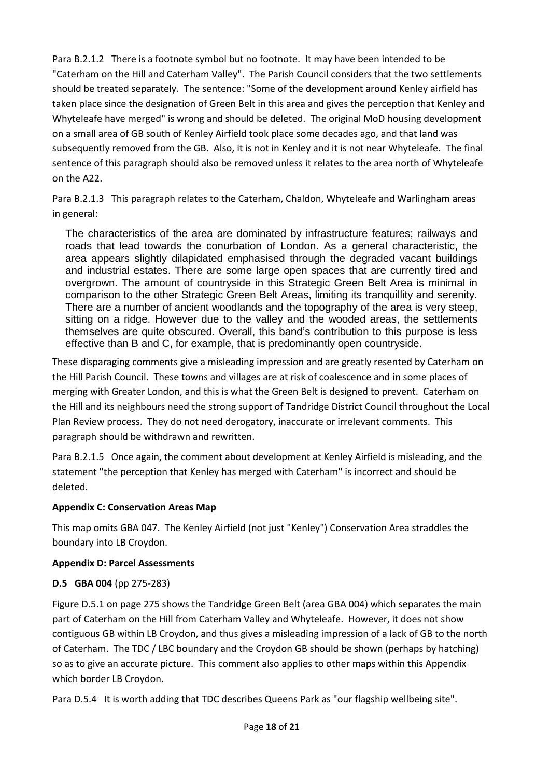Para B.2.1.2 There is a footnote symbol but no footnote. It may have been intended to be "Caterham on the Hill and Caterham Valley". The Parish Council considers that the two settlements should be treated separately. The sentence: "Some of the development around Kenley airfield has taken place since the designation of Green Belt in this area and gives the perception that Kenley and Whyteleafe have merged" is wrong and should be deleted. The original MoD housing development on a small area of GB south of Kenley Airfield took place some decades ago, and that land was subsequently removed from the GB. Also, it is not in Kenley and it is not near Whyteleafe. The final sentence of this paragraph should also be removed unless it relates to the area north of Whyteleafe on the A22.

Para B.2.1.3 This paragraph relates to the Caterham, Chaldon, Whyteleafe and Warlingham areas in general:

The characteristics of the area are dominated by infrastructure features; railways and roads that lead towards the conurbation of London. As a general characteristic, the area appears slightly dilapidated emphasised through the degraded vacant buildings and industrial estates. There are some large open spaces that are currently tired and overgrown. The amount of countryside in this Strategic Green Belt Area is minimal in comparison to the other Strategic Green Belt Areas, limiting its tranquillity and serenity. There are a number of ancient woodlands and the topography of the area is very steep, sitting on a ridge. However due to the valley and the wooded areas, the settlements themselves are quite obscured. Overall, this band's contribution to this purpose is less effective than B and C, for example, that is predominantly open countryside.

These disparaging comments give a misleading impression and are greatly resented by Caterham on the Hill Parish Council. These towns and villages are at risk of coalescence and in some places of merging with Greater London, and this is what the Green Belt is designed to prevent. Caterham on the Hill and its neighbours need the strong support of Tandridge District Council throughout the Local Plan Review process. They do not need derogatory, inaccurate or irrelevant comments. This paragraph should be withdrawn and rewritten.

Para B.2.1.5 Once again, the comment about development at Kenley Airfield is misleading, and the statement "the perception that Kenley has merged with Caterham" is incorrect and should be deleted.

## **Appendix C: Conservation Areas Map**

This map omits GBA 047. The Kenley Airfield (not just "Kenley") Conservation Area straddles the boundary into LB Croydon.

## **Appendix D: Parcel Assessments**

## **D.5 GBA 004** (pp 275-283)

Figure D.5.1 on page 275 shows the Tandridge Green Belt (area GBA 004) which separates the main part of Caterham on the Hill from Caterham Valley and Whyteleafe. However, it does not show contiguous GB within LB Croydon, and thus gives a misleading impression of a lack of GB to the north of Caterham. The TDC / LBC boundary and the Croydon GB should be shown (perhaps by hatching) so as to give an accurate picture. This comment also applies to other maps within this Appendix which border LB Croydon.

Para D.5.4 It is worth adding that TDC describes Queens Park as "our flagship wellbeing site".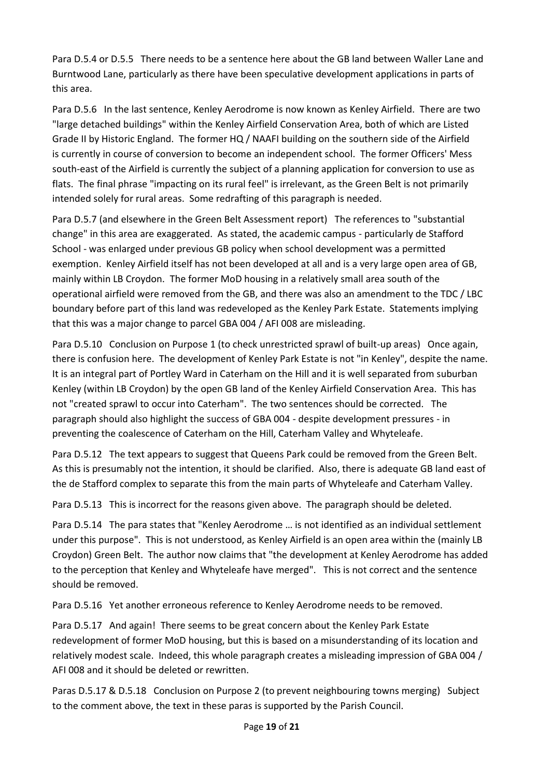Para D.5.4 or D.5.5 There needs to be a sentence here about the GB land between Waller Lane and Burntwood Lane, particularly as there have been speculative development applications in parts of this area.

Para D.5.6 In the last sentence, Kenley Aerodrome is now known as Kenley Airfield. There are two "large detached buildings" within the Kenley Airfield Conservation Area, both of which are Listed Grade II by Historic England. The former HQ / NAAFI building on the southern side of the Airfield is currently in course of conversion to become an independent school. The former Officers' Mess south-east of the Airfield is currently the subject of a planning application for conversion to use as flats. The final phrase "impacting on its rural feel" is irrelevant, as the Green Belt is not primarily intended solely for rural areas. Some redrafting of this paragraph is needed.

Para D.5.7 (and elsewhere in the Green Belt Assessment report) The references to "substantial change" in this area are exaggerated. As stated, the academic campus - particularly de Stafford School - was enlarged under previous GB policy when school development was a permitted exemption. Kenley Airfield itself has not been developed at all and is a very large open area of GB, mainly within LB Croydon. The former MoD housing in a relatively small area south of the operational airfield were removed from the GB, and there was also an amendment to the TDC / LBC boundary before part of this land was redeveloped as the Kenley Park Estate. Statements implying that this was a major change to parcel GBA 004 / AFI 008 are misleading.

Para D.5.10 Conclusion on Purpose 1 (to check unrestricted sprawl of built-up areas) Once again, there is confusion here. The development of Kenley Park Estate is not "in Kenley", despite the name. It is an integral part of Portley Ward in Caterham on the Hill and it is well separated from suburban Kenley (within LB Croydon) by the open GB land of the Kenley Airfield Conservation Area. This has not "created sprawl to occur into Caterham". The two sentences should be corrected. The paragraph should also highlight the success of GBA 004 - despite development pressures - in preventing the coalescence of Caterham on the Hill, Caterham Valley and Whyteleafe.

Para D.5.12 The text appears to suggest that Queens Park could be removed from the Green Belt. As this is presumably not the intention, it should be clarified. Also, there is adequate GB land east of the de Stafford complex to separate this from the main parts of Whyteleafe and Caterham Valley.

Para D.5.13 This is incorrect for the reasons given above. The paragraph should be deleted.

Para D.5.14 The para states that "Kenley Aerodrome … is not identified as an individual settlement under this purpose". This is not understood, as Kenley Airfield is an open area within the (mainly LB Croydon) Green Belt. The author now claims that "the development at Kenley Aerodrome has added to the perception that Kenley and Whyteleafe have merged". This is not correct and the sentence should be removed.

Para D.5.16 Yet another erroneous reference to Kenley Aerodrome needs to be removed.

Para D.5.17 And again! There seems to be great concern about the Kenley Park Estate redevelopment of former MoD housing, but this is based on a misunderstanding of its location and relatively modest scale. Indeed, this whole paragraph creates a misleading impression of GBA 004 / AFI 008 and it should be deleted or rewritten.

Paras D.5.17 & D.5.18 Conclusion on Purpose 2 (to prevent neighbouring towns merging) Subject to the comment above, the text in these paras is supported by the Parish Council.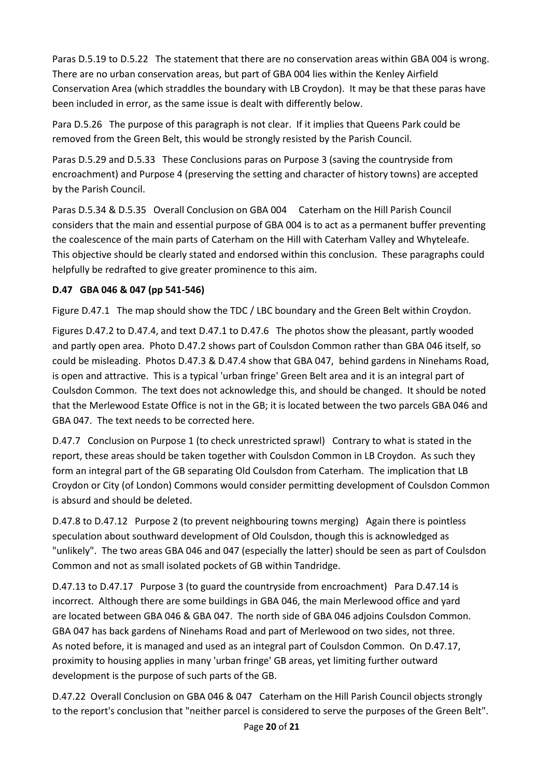Paras D.5.19 to D.5.22 The statement that there are no conservation areas within GBA 004 is wrong. There are no urban conservation areas, but part of GBA 004 lies within the Kenley Airfield Conservation Area (which straddles the boundary with LB Croydon). It may be that these paras have been included in error, as the same issue is dealt with differently below.

Para D.5.26 The purpose of this paragraph is not clear. If it implies that Queens Park could be removed from the Green Belt, this would be strongly resisted by the Parish Council.

Paras D.5.29 and D.5.33 These Conclusions paras on Purpose 3 (saving the countryside from encroachment) and Purpose 4 (preserving the setting and character of history towns) are accepted by the Parish Council.

Paras D.5.34 & D.5.35 Overall Conclusion on GBA 004 Caterham on the Hill Parish Council considers that the main and essential purpose of GBA 004 is to act as a permanent buffer preventing the coalescence of the main parts of Caterham on the Hill with Caterham Valley and Whyteleafe. This objective should be clearly stated and endorsed within this conclusion. These paragraphs could helpfully be redrafted to give greater prominence to this aim.

## **D.47 GBA 046 & 047 (pp 541-546)**

Figure D.47.1 The map should show the TDC / LBC boundary and the Green Belt within Croydon.

Figures D.47.2 to D.47.4, and text D.47.1 to D.47.6 The photos show the pleasant, partly wooded and partly open area. Photo D.47.2 shows part of Coulsdon Common rather than GBA 046 itself, so could be misleading. Photos D.47.3 & D.47.4 show that GBA 047, behind gardens in Ninehams Road, is open and attractive. This is a typical 'urban fringe' Green Belt area and it is an integral part of Coulsdon Common. The text does not acknowledge this, and should be changed. It should be noted that the Merlewood Estate Office is not in the GB; it is located between the two parcels GBA 046 and GBA 047. The text needs to be corrected here.

D.47.7 Conclusion on Purpose 1 (to check unrestricted sprawl) Contrary to what is stated in the report, these areas should be taken together with Coulsdon Common in LB Croydon. As such they form an integral part of the GB separating Old Coulsdon from Caterham. The implication that LB Croydon or City (of London) Commons would consider permitting development of Coulsdon Common is absurd and should be deleted.

D.47.8 to D.47.12 Purpose 2 (to prevent neighbouring towns merging) Again there is pointless speculation about southward development of Old Coulsdon, though this is acknowledged as "unlikely". The two areas GBA 046 and 047 (especially the latter) should be seen as part of Coulsdon Common and not as small isolated pockets of GB within Tandridge.

D.47.13 to D.47.17 Purpose 3 (to guard the countryside from encroachment) Para D.47.14 is incorrect. Although there are some buildings in GBA 046, the main Merlewood office and yard are located between GBA 046 & GBA 047. The north side of GBA 046 adjoins Coulsdon Common. GBA 047 has back gardens of Ninehams Road and part of Merlewood on two sides, not three. As noted before, it is managed and used as an integral part of Coulsdon Common. On D.47.17, proximity to housing applies in many 'urban fringe' GB areas, yet limiting further outward development is the purpose of such parts of the GB.

D.47.22 Overall Conclusion on GBA 046 & 047 Caterham on the Hill Parish Council objects strongly to the report's conclusion that "neither parcel is considered to serve the purposes of the Green Belt".